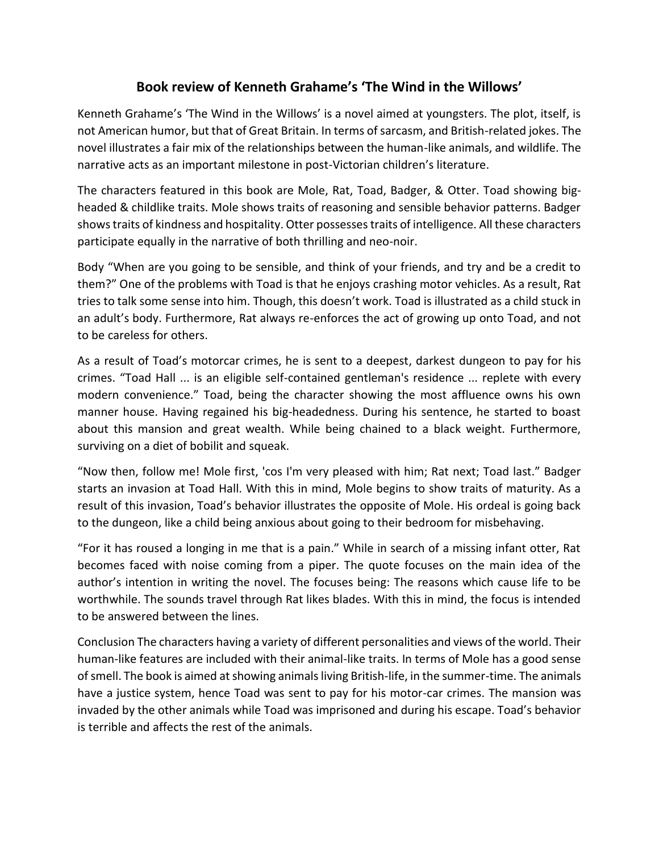## **Book review of Kenneth Grahame's 'The Wind in the Willows'**

Kenneth Grahame's 'The Wind in the Willows' is a novel aimed at youngsters. The plot, itself, is not American humor, but that of Great Britain. In terms of sarcasm, and British-related jokes. The novel illustrates a fair mix of the relationships between the human-like animals, and wildlife. The narrative acts as an important milestone in post-Victorian children's literature.

The characters featured in this book are Mole, Rat, Toad, Badger, & Otter. Toad showing bigheaded & childlike traits. Mole shows traits of reasoning and sensible behavior patterns. Badger shows traits of kindness and hospitality. Otter possesses traits of intelligence. All these characters participate equally in the narrative of both thrilling and neo-noir.

Body "When are you going to be sensible, and think of your friends, and try and be a credit to them?" One of the problems with Toad is that he enjoys crashing motor vehicles. As a result, Rat tries to talk some sense into him. Though, this doesn't work. Toad is illustrated as a child stuck in an adult's body. Furthermore, Rat always re-enforces the act of growing up onto Toad, and not to be careless for others.

As a result of Toad's motorcar crimes, he is sent to a deepest, darkest dungeon to pay for his crimes. "Toad Hall ... is an eligible self-contained gentleman's residence ... replete with every modern convenience." Toad, being the character showing the most affluence owns his own manner house. Having regained his big-headedness. During his sentence, he started to boast about this mansion and great wealth. While being chained to a black weight. Furthermore, surviving on a diet of bobilit and squeak.

"Now then, follow me! Mole first, 'cos I'm very pleased with him; Rat next; Toad last." Badger starts an invasion at Toad Hall. With this in mind, Mole begins to show traits of maturity. As a result of this invasion, Toad's behavior illustrates the opposite of Mole. His ordeal is going back to the dungeon, like a child being anxious about going to their bedroom for misbehaving.

"For it has roused a longing in me that is a pain." While in search of a missing infant otter, Rat becomes faced with noise coming from a piper. The quote focuses on the main idea of the author's intention in writing the novel. The focuses being: The reasons which cause life to be worthwhile. The sounds travel through Rat likes blades. With this in mind, the focus is intended to be answered between the lines.

Conclusion The characters having a variety of different personalities and views of the world. Their human-like features are included with their animal-like traits. In terms of Mole has a good sense of smell. The book is aimed at showing animals living British-life, in the summer-time. The animals have a justice system, hence Toad was sent to pay for his motor-car crimes. The mansion was invaded by the other animals while Toad was imprisoned and during his escape. Toad's behavior is terrible and affects the rest of the animals.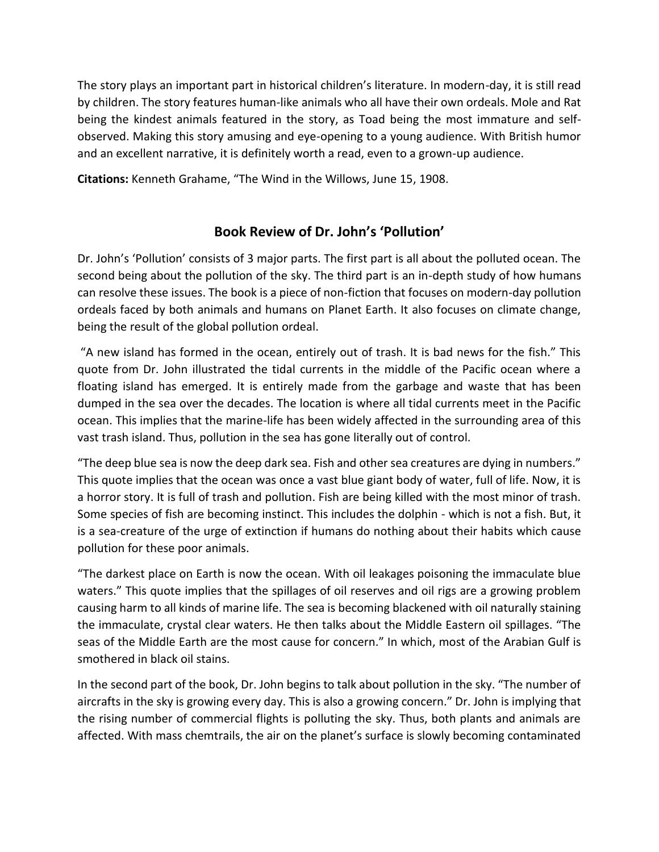The story plays an important part in historical children's literature. In modern-day, it is still read by children. The story features human-like animals who all have their own ordeals. Mole and Rat being the kindest animals featured in the story, as Toad being the most immature and selfobserved. Making this story amusing and eye-opening to a young audience. With British humor and an excellent narrative, it is definitely worth a read, even to a grown-up audience.

**Citations:** Kenneth Grahame, "The Wind in the Willows, June 15, 1908.

## **Book Review of Dr. John's 'Pollution'**

Dr. John's 'Pollution' consists of 3 major parts. The first part is all about the polluted ocean. The second being about the pollution of the sky. The third part is an in-depth study of how humans can resolve these issues. The book is a piece of non-fiction that focuses on modern-day pollution ordeals faced by both animals and humans on Planet Earth. It also focuses on climate change, being the result of the global pollution ordeal.

"A new island has formed in the ocean, entirely out of trash. It is bad news for the fish." This quote from Dr. John illustrated the tidal currents in the middle of the Pacific ocean where a floating island has emerged. It is entirely made from the garbage and waste that has been dumped in the sea over the decades. The location is where all tidal currents meet in the Pacific ocean. This implies that the marine-life has been widely affected in the surrounding area of this vast trash island. Thus, pollution in the sea has gone literally out of control.

"The deep blue sea is now the deep dark sea. Fish and other sea creatures are dying in numbers." This quote implies that the ocean was once a vast blue giant body of water, full of life. Now, it is a horror story. It is full of trash and pollution. Fish are being killed with the most minor of trash. Some species of fish are becoming instinct. This includes the dolphin - which is not a fish. But, it is a sea-creature of the urge of extinction if humans do nothing about their habits which cause pollution for these poor animals.

"The darkest place on Earth is now the ocean. With oil leakages poisoning the immaculate blue waters." This quote implies that the spillages of oil reserves and oil rigs are a growing problem causing harm to all kinds of marine life. The sea is becoming blackened with oil naturally staining the immaculate, crystal clear waters. He then talks about the Middle Eastern oil spillages. "The seas of the Middle Earth are the most cause for concern." In which, most of the Arabian Gulf is smothered in black oil stains.

In the second part of the book, Dr. John begins to talk about pollution in the sky. "The number of aircrafts in the sky is growing every day. This is also a growing concern." Dr. John is implying that the rising number of commercial flights is polluting the sky. Thus, both plants and animals are affected. With mass chemtrails, the air on the planet's surface is slowly becoming contaminated